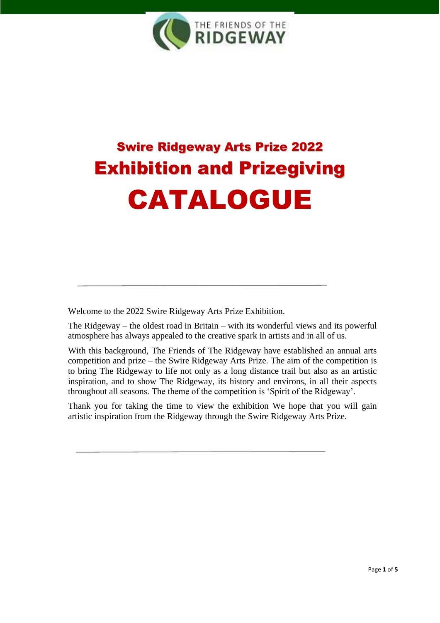

# Swire Ridgeway Arts Prize 2022 Exhibition and Prizegiving CATALOGUE

Welcome to the 2022 Swire Ridgeway Arts Prize Exhibition.

The Ridgeway – the oldest road in Britain – with its wonderful views and its powerful atmosphere has always appealed to the creative spark in artists and in all of us.

With this background, The Friends of The Ridgeway have established an annual arts competition and prize – the Swire Ridgeway Arts Prize. The aim of the competition is to bring The Ridgeway to life not only as a long distance trail but also as an artistic inspiration, and to show The Ridgeway, its history and environs, in all their aspects throughout all seasons. The theme of the competition is 'Spirit of the Ridgeway'.

Thank you for taking the time to view the exhibition We hope that you will gain artistic inspiration from the Ridgeway through the Swire Ridgeway Arts Prize.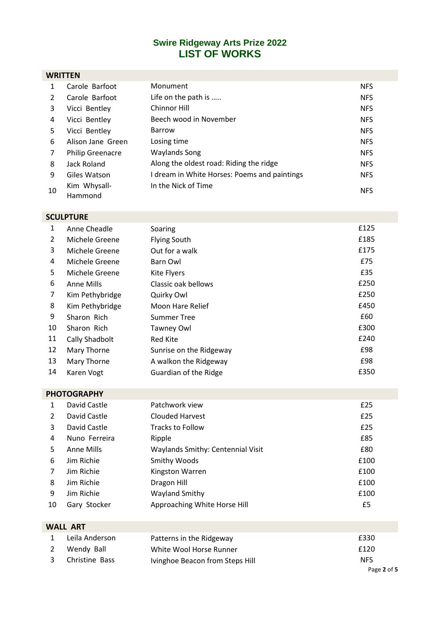## **Swire Ridgeway Arts Prize 2022 LIST OF WORKS**

### **WRITTEN**

|    | Carole Barfoot          | Monument                                     | <b>NFS</b> |  |
|----|-------------------------|----------------------------------------------|------------|--|
|    | Carole Barfoot          | Life on the path is                          | <b>NFS</b> |  |
| 3  | Vicci Bentley           | Chinnor Hill                                 | <b>NFS</b> |  |
| 4  | Vicci Bentley           | Beech wood in November                       | <b>NFS</b> |  |
| 5  | Vicci Bentley           | Barrow                                       | <b>NFS</b> |  |
| 6  | Alison Jane Green       | Losing time                                  | <b>NFS</b> |  |
| 7  | <b>Philip Greenacre</b> | <b>Waylands Song</b>                         | <b>NFS</b> |  |
| 8  | Jack Roland             | Along the oldest road: Riding the ridge      | <b>NFS</b> |  |
| 9  | Giles Watson            | I dream in White Horses: Poems and paintings | <b>NFS</b> |  |
| 10 | Kim Whysall-            | In the Nick of Time                          | <b>NFS</b> |  |
|    | Hammond                 |                                              |            |  |

## **SCULPTURE**

| 1  | Anne Cheadle    | Soaring                 | £125 |
|----|-----------------|-------------------------|------|
| 2  | Michele Greene  | <b>Flying South</b>     | £185 |
| 3  | Michele Greene  | Out for a walk          | £175 |
| 4  | Michele Greene  | Barn Owl                | £75  |
| 5  | Michele Greene  | <b>Kite Flyers</b>      | £35  |
| 6  | Anne Mills      | Classic oak bellows     | £250 |
| 7  | Kim Pethybridge | Quirky Owl              | £250 |
| 8  | Kim Pethybridge | Moon Hare Relief        | £450 |
| 9  | Sharon Rich     | Summer Tree             | £60  |
| 10 | Sharon Rich     | <b>Tawney Owl</b>       | £300 |
| 11 | Cally Shadbolt  | <b>Red Kite</b>         | £240 |
| 12 | Mary Thorne     | Sunrise on the Ridgeway | £98  |
| 13 | Mary Thorne     | A walkon the Ridgeway   | £98  |
| 14 | Karen Vogt      | Guardian of the Ridge   | £350 |

## **PHOTOGRAPHY**

|               | David Castle  | Patchwork view                    | £25  |
|---------------|---------------|-----------------------------------|------|
| $\mathcal{L}$ | David Castle  | <b>Clouded Harvest</b>            | £25  |
| 3             | David Castle  | <b>Tracks to Follow</b>           | £25  |
| 4             | Nuno Ferreira | Ripple                            | £85  |
| 5.            | Anne Mills    | Waylands Smithy: Centennial Visit | £80  |
| 6             | Jim Richie    | Smithy Woods                      | £100 |
| 7             | Jim Richie    | Kingston Warren                   | £100 |
| 8             | Jim Richie    | Dragon Hill                       | £100 |
| 9             | Jim Richie    | Wayland Smithy                    | £100 |
| 10            | Gary Stocker  | Approaching White Horse Hill      | £5   |

| <b>WALL ART</b> |                |                                 |             |  |
|-----------------|----------------|---------------------------------|-------------|--|
|                 | Leila Anderson | Patterns in the Ridgeway        | £330        |  |
|                 | Wendy Ball     | White Wool Horse Runner         | £120        |  |
|                 | Christine Bass | Ivinghoe Beacon from Steps Hill | <b>NFS</b>  |  |
|                 |                |                                 | Page 2 of 5 |  |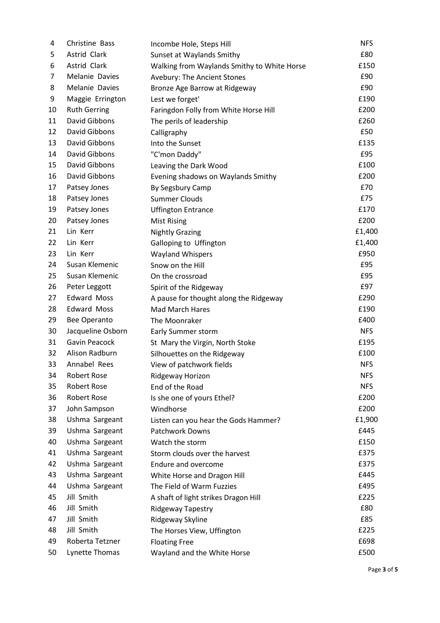| 4  | Christine Bass      | Incombe Hole, Steps Hill                    | <b>NFS</b> |
|----|---------------------|---------------------------------------------|------------|
| 5  | Astrid Clark        | Sunset at Waylands Smithy                   | £80        |
| 6  | Astrid Clark        | Walking from Waylands Smithy to White Horse | £150       |
| 7  | Melanie Davies      | Avebury: The Ancient Stones                 | £90        |
| 8  | Melanie Davies      | Bronze Age Barrow at Ridgeway               | £90        |
| 9  | Maggie Errington    | Lest we forget'                             | £190       |
| 10 | <b>Ruth Gerring</b> | Faringdon Folly from White Horse Hill       | £200       |
| 11 | David Gibbons       | The perils of leadership                    | £260       |
| 12 | David Gibbons       | Calligraphy                                 | £50        |
| 13 | David Gibbons       | Into the Sunset                             | £135       |
| 14 | David Gibbons       | "C'mon Daddy"                               | £95        |
| 15 | David Gibbons       | Leaving the Dark Wood                       | £100       |
| 16 | David Gibbons       | Evening shadows on Waylands Smithy          | £200       |
| 17 | Patsey Jones        | By Segsbury Camp                            | £70        |
| 18 | Patsey Jones        | <b>Summer Clouds</b>                        | £75        |
| 19 | Patsey Jones        | <b>Uffington Entrance</b>                   | £170       |
| 20 | Patsey Jones        | <b>Mist Rising</b>                          | £200       |
| 21 | Lin Kerr            | <b>Nightly Grazing</b>                      | £1,400     |
| 22 | Lin Kerr            | Galloping to Uffington                      | £1,400     |
| 23 | Lin Kerr            | <b>Wayland Whispers</b>                     | £950       |
| 24 | Susan Klemenic      | Snow on the Hill                            | £95        |
| 25 | Susan Klemenic      | On the crossroad                            | £95        |
| 26 | Peter Leggott       | Spirit of the Ridgeway                      | £97        |
| 27 | <b>Edward Moss</b>  | A pause for thought along the Ridgeway      | £290       |
| 28 | <b>Edward Moss</b>  | Mad March Hares                             | £190       |
| 29 | Bee Operanto        | The Moonraker                               | £400       |
| 30 | Jacqueline Osborn   | Early Summer storm                          | <b>NFS</b> |
| 31 | Gavin Peacock       | St Mary the Virgin, North Stoke             | £195       |
| 32 | Alison Radburn      | Silhouettes on the Ridgeway                 | £100       |
| 33 | Annabel Rees        | View of patchwork fields                    | <b>NFS</b> |
| 34 | Robert Rose         | Ridgeway Horizon                            | NFS        |
| 35 | Robert Rose         | End of the Road                             | <b>NFS</b> |
| 36 | Robert Rose         | Is she one of yours Ethel?                  | £200       |
| 37 | John Sampson        | Windhorse                                   | £200       |
| 38 | Ushma Sargeant      | Listen can you hear the Gods Hammer?        | £1,900     |
| 39 | Ushma Sargeant      | <b>Patchwork Downs</b>                      | £445       |
| 40 | Ushma Sargeant      | Watch the storm                             | £150       |
| 41 | Ushma Sargeant      | Storm clouds over the harvest               | £375       |
| 42 | Ushma Sargeant      | Endure and overcome                         | £375       |
| 43 | Ushma Sargeant      | White Horse and Dragon Hill                 | £445       |
| 44 | Ushma Sargeant      | The Field of Warm Fuzzies                   | £495       |
| 45 | Jill Smith          | A shaft of light strikes Dragon Hill        | £225       |
| 46 | Jill Smith          | Ridgeway Tapestry                           | £80        |
| 47 | Jill Smith          | Ridgeway Skyline                            | £85        |
| 48 | Jill Smith          | The Horses View, Uffington                  | £225       |
| 49 | Roberta Tetzner     | <b>Floating Free</b>                        | £698       |
| 50 | Lynette Thomas      | Wayland and the White Horse                 | £500       |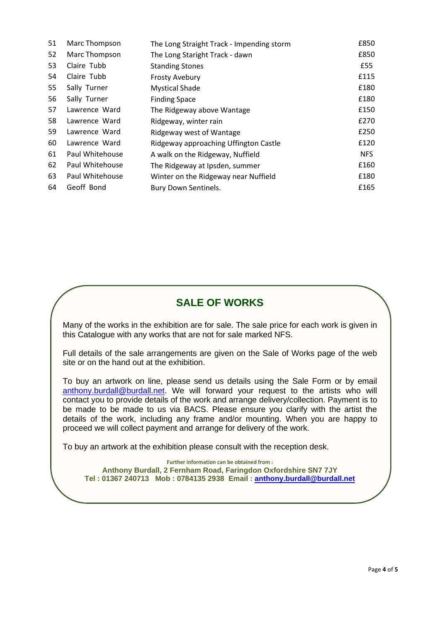| 51 | Marc Thompson   | The Long Straight Track - Impending storm | £850       |
|----|-----------------|-------------------------------------------|------------|
| 52 | Marc Thompson   | The Long Staright Track - dawn            | £850       |
| 53 | Claire Tubb     | <b>Standing Stones</b>                    | £55        |
| 54 | Claire Tubb     | <b>Frosty Avebury</b>                     | £115       |
| 55 | Sally Turner    | <b>Mystical Shade</b>                     | £180       |
| 56 | Sally Turner    | <b>Finding Space</b>                      | £180       |
| 57 | Lawrence Ward   | The Ridgeway above Wantage                | £150       |
| 58 | Lawrence Ward   | Ridgeway, winter rain                     | £270       |
| 59 | Lawrence Ward   | Ridgeway west of Wantage                  | £250       |
| 60 | Lawrence Ward   | Ridgeway approaching Uffington Castle     | £120       |
| 61 | Paul Whitehouse | A walk on the Ridgeway, Nuffield          | <b>NFS</b> |
| 62 | Paul Whitehouse | The Ridgeway at Ipsden, summer            | £160       |
| 63 | Paul Whitehouse | Winter on the Ridgeway near Nuffield      | £180       |
| 64 | Geoff Bond      | Bury Down Sentinels.                      | £165       |

## **SALE OF WORKS**

Many of the works in the exhibition are for sale. The sale price for each work is given in this Catalogue with any works that are not for sale marked NFS.

Full details of the sale arrangements are given on the Sale of Works page of the web site or on the hand out at the exhibition.

To buy an artwork on line, please send us details using the Sale Form or by email [anthony.burdall@burdall.net.](mailto:anthony.burdall@burdall.net) We will forward your request to the artists who will contact you to provide details of the work and arrange delivery/collection. Payment is to be made to be made to us via BACS. Please ensure you clarify with the artist the details of the work, including any frame and/or mounting. When you are happy to proceed we will collect payment and arrange for delivery of the work.

To buy an artwork at the exhibition please consult with the reception desk.

**Further information can be obtained from : Anthony Burdall, 2 Fernham Road, Faringdon Oxfordshire SN7 7JY Tel : 01367 240713 Mob : 0784135 2938 Email : [anthony.burdall@burdall.net](mailto:anthony.burdall@burdall.net)**